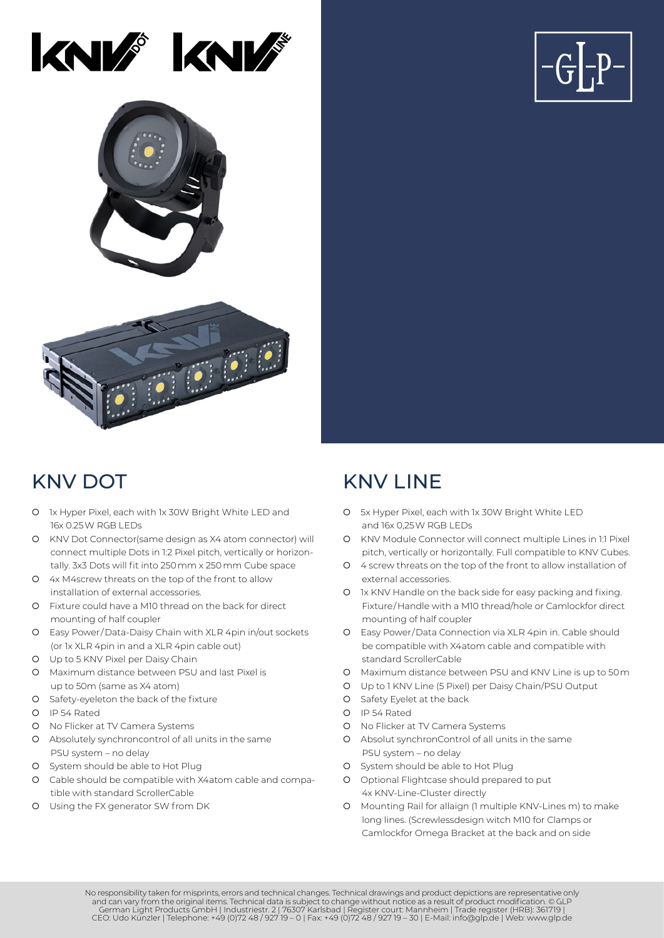





- { 1x Hyper Pixel, each with 1x 30W Bright White LED and 16x 0.25 W RGB LEDs
- { KNV Dot Connector(same design as X4 atom connector) will connect multiple Dots in 1:2 Pixel pitch, vertically or horizontally. 3x3 Dots will fit into 250 mm x 250 mm Cube space
- { 4x M4screw threats on the top of the front to allow installation of external accessories.
- $\Omega$  Fixture could have a M10 thread on the back for direct mounting of half coupler
- { Easy Power/Data-Daisy Chain with XLR 4pin in/out sockets (or 1x XLR 4pin in and a XLR 4pin cable out)
- { Up to 5 KNV Pixel per Daisy Chain
- { Maximum distance between PSU and last Pixel is up to 50m (same as X4 atom)
- { Safety-eyeleton the back of the fixture
- { IP 54 Rated
- { No Flicker at TV Camera Systems
- { Absolutely synchroncontrol of all units in the same PSU system – no delay
- { System should be able to Hot Plug
- { Cable should be compatible with X4atom cable and compatible with standard ScrollerCable
- { Using the FX generator SW from DK

### KNV DOT KNV I INF

- { 5x Hyper Pixel, each with 1x 30W Bright White LED and 16x 0,25W RGB LEDs
- { KNV Module Connector will connect multiple Lines in 1:1 Pixel pitch, vertically or horizontally. Full compatible to KNV Cubes.
- { 4 screw threats on the top of the front to allow installation of external accessories.
- { 1x KNV Handle on the back side for easy packing and fixing. Fixture/Handle with a M10 thread/hole or Camlockfor direct mounting of half coupler
- { Easy Power/Data Connection via XLR 4pin in. Cable should be compatible with X4atom cable and compatible with standard ScrollerCable
- { Maximum distance between PSU and KNV Line is up to 50m
- { Up to 1 KNV Line (5 Pixel) per Daisy Chain/PSU Output
- { Safety Eyelet at the back
- { IP 54 Rated
- { No Flicker at TV Camera Systems
- { Absolut synchronControl of all units in the same PSU system – no delay
- { System should be able to Hot Plug
- **Q** Optional Flightcase should prepared to put 4x KNV-Line-Cluster directly
- { Mounting Rail for allaign (1 multiple KNV-Lines m) to make long lines. (Screwlessdesign witch M10 for Clamps or Camlockfor Omega Bracket at the back and on side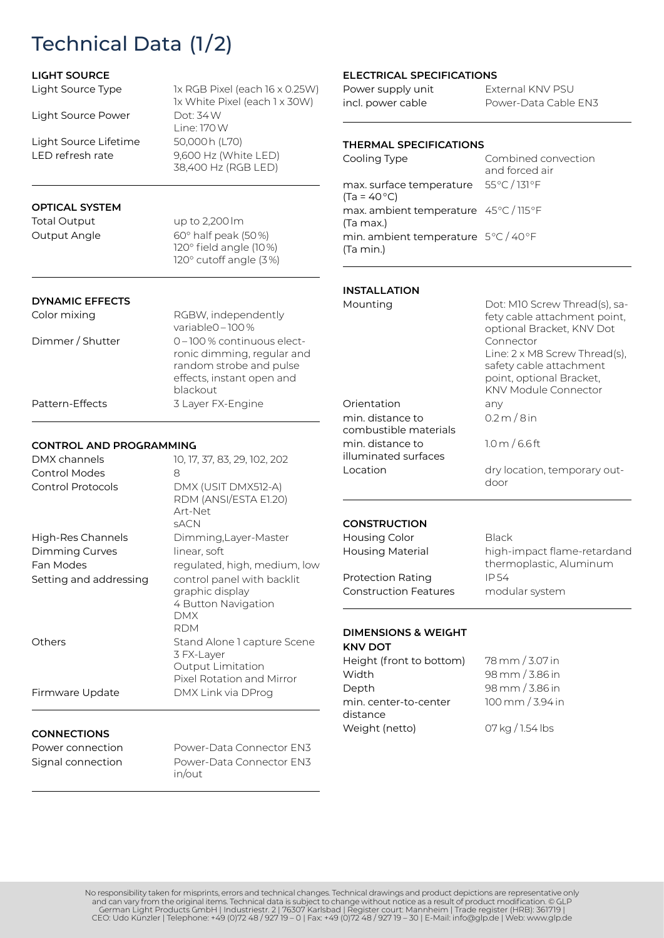## Technical Data (1/2)

#### **LIGHT SOURCE**

Light Source Type

Light Source Power

Light Source Lifetime LED refresh rate

#### 1x RGB Pixel (each 16 x 0.25W) 1x White Pixel (each 1 x 30W) Dot: 34 W Line: 170 W 50,000 h (L70) 9,600 Hz (White LED) 38,400 Hz (RGB LED)

### **OPTICAL SYSTEM**

Total Output Output Angle

up to 2,200 lm 60° half peak (50 %) 120° field angle (10 %) 120° cutoff angle (3 %)

#### **DYNAMIC EFFECTS**

| Color mixing     | RGBW, independently        |
|------------------|----------------------------|
|                  | variable $0 - 100\%$       |
| Dimmer / Shutter | 0-100 % continuous elect-  |
|                  | ronic dimming, regular and |
|                  | random strobe and pulse    |
|                  | effects, instant open and  |
|                  | blackout                   |
| Pattern-Effects  | 3 Layer FX-Engine          |
|                  |                            |

#### **CONTROL AND PROGRAMMING**

| DMX channels             | 10, 17, 37, 83, 29, 102, 202                                                                       |
|--------------------------|----------------------------------------------------------------------------------------------------|
| Control Modes            | 8                                                                                                  |
| <b>Control Protocols</b> | DMX (USIT DMX512-A)<br>RDM (ANSI/ESTA E1.20)<br>Art-Net<br>SACN                                    |
| High-Res Channels        | Dimming, Layer-Master                                                                              |
| Dimming Curves           | linear, soft                                                                                       |
| Fan Modes                | regulated, high, medium, low                                                                       |
| Setting and addressing   | control panel with backlit<br>graphic display<br>4 Button Navigation<br><b>DMX</b><br><b>RDM</b>   |
| Others                   | Stand Alone I capture Scene<br>3 FX-Layer<br><b>Output Limitation</b><br>Pixel Rotation and Mirror |
| Firmware Update          | DMX Link via DProg                                                                                 |
| <b>CONNECTIONS</b>       |                                                                                                    |

Power connection Signal connection

Power-Data Connector EN3 Power-Data Connector EN3 in/out

#### **ELECTRICAL SPECIFICATIONS**

| Power supply unit | External KNV PSU     |
|-------------------|----------------------|
| incl. power cable | Power-Data Cable EN3 |

#### **THERMAL SPECIFICATIONS**

Combined convection and forced air max. surface temperature 55°C/131°F max. ambient temperature 45°C/115°F min. ambient temperature 5°C/40°F Cooling Type  $(Ta = 40 °C)$ (Ta max.) (Ta min.)

#### **INSTALLATION**

| Mounting |  |
|----------|--|
|          |  |

Orientation min. distance to combustible materials min. distance to illuminated surfaces

Location

Dot: M10 Screw Thread(s), safety cable attachment point, optional Bracket, KNV Dot Connector Line: 2 x M8 Screw Thread(s), safety cable attachment point, optional Bracket, KNV Module Connector any  $0.2 m / 8 in$ 1.0 m / 6.6 ft

> dry location, temporary outdoor

#### **CONSTRUCTION**

| <b>Housing Color</b><br><b>Housing Material</b> | <b>Black</b><br>high-impact flame-retardand<br>thermoplastic, Aluminum |
|-------------------------------------------------|------------------------------------------------------------------------|
| <b>Protection Rating</b>                        | IP 54                                                                  |
| <b>Construction Features</b>                    | modular system                                                         |

#### **DIMENSIONS & WEIGHT KNV DOT**

| Height (front to bottom) | 78 mm / 3.07 in  |
|--------------------------|------------------|
| Width                    | 98 mm / 3.86 in  |
| Depth                    | 98 mm / 3.86 in  |
| min. center-to-center    | 100 mm / 3.94 in |
| distance                 |                  |
| Weight (netto)           | 07 kg / 1.54 lbs |